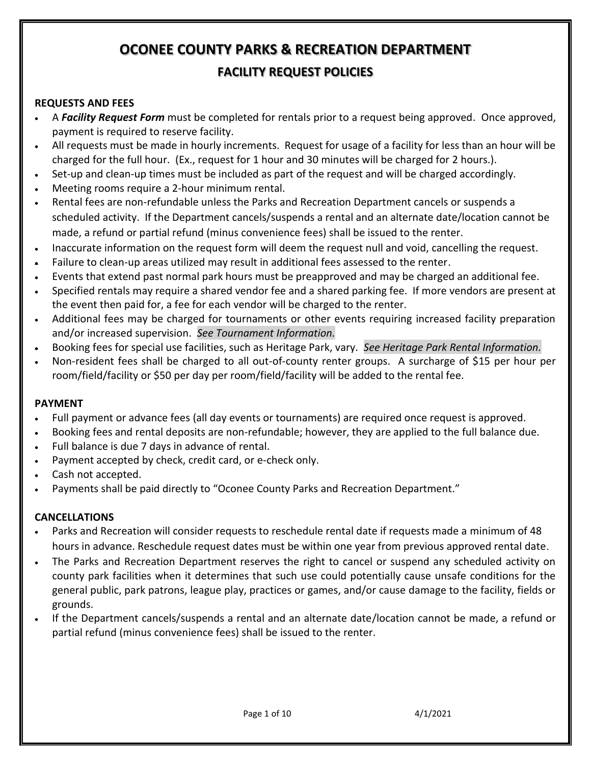# **OCONEE COUNTY PARKS & RECREATION DEPARTMENT FACILITY REQUEST POLICIES**

#### **REQUESTS AND FEES**

- A *Facility Request Form* must be completed for rentals prior to a request being approved. Once approved, payment is required to reserve facility.
- All requests must be made in hourly increments. Request for usage of a facility for less than an hour will be charged for the full hour. (Ex., request for 1 hour and 30 minutes will be charged for 2 hours.).
- Set-up and clean-up times must be included as part of the request and will be charged accordingly.
- Meeting rooms require a 2-hour minimum rental.
- Rental fees are non-refundable unless the Parks and Recreation Department cancels or suspends a scheduled activity. If the Department cancels/suspends a rental and an alternate date/location cannot be made, a refund or partial refund (minus convenience fees) shall be issued to the renter.
- Inaccurate information on the request form will deem the request null and void, cancelling the request.
- Failure to clean-up areas utilized may result in additional fees assessed to the renter.
- Events that extend past normal park hours must be preapproved and may be charged an additional fee.
- Specified rentals may require a shared vendor fee and a shared parking fee. If more vendors are present at the event then paid for, a fee for each vendor will be charged to the renter.
- Additional fees may be charged for tournaments or other events requiring increased facility preparation and/or increased supervision. *See Tournament Information.*
- Booking fees for special use facilities, such as Heritage Park, vary. *See Heritage Park Rental Information.*
- Non-resident fees shall be charged to all out-of-county renter groups. A surcharge of \$15 per hour per room/field/facility or \$50 per day per room/field/facility will be added to the rental fee.

#### **PAYMENT**

- Full payment or advance fees (all day events or tournaments) are required once request is approved.
- Booking fees and rental deposits are non-refundable; however, they are applied to the full balance due.
- Full balance is due 7 days in advance of rental.
- Payment accepted by check, credit card, or e-check only.
- Cash not accepted.
- Payments shall be paid directly to "Oconee County Parks and Recreation Department."

## **CANCELLATIONS**

- Parks and Recreation will consider requests to reschedule rental date if requests made a minimum of 48 hours in advance. Reschedule request dates must be within one year from previous approved rental date.
- The Parks and Recreation Department reserves the right to cancel or suspend any scheduled activity on county park facilities when it determines that such use could potentially cause unsafe conditions for the general public, park patrons, league play, practices or games, and/or cause damage to the facility, fields or grounds.
- If the Department cancels/suspends a rental and an alternate date/location cannot be made, a refund or partial refund (minus convenience fees) shall be issued to the renter.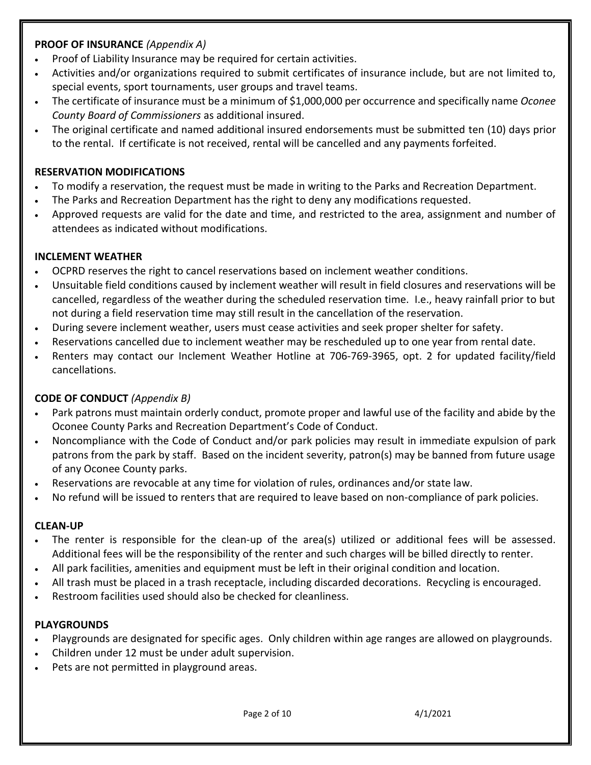## **PROOF OF INSURANCE** *(Appendix A)*

- Proof of Liability Insurance may be required for certain activities.
- Activities and/or organizations required to submit certificates of insurance include, but are not limited to, special events, sport tournaments, user groups and travel teams.
- The certificate of insurance must be a minimum of \$1,000,000 per occurrence and specifically name *Oconee County Board of Commissioners* as additional insured.
- The original certificate and named additional insured endorsements must be submitted ten (10) days prior to the rental. If certificate is not received, rental will be cancelled and any payments forfeited.

## **RESERVATION MODIFICATIONS**

- To modify a reservation, the request must be made in writing to the Parks and Recreation Department.
- The Parks and Recreation Department has the right to deny any modifications requested.
- Approved requests are valid for the date and time, and restricted to the area, assignment and number of attendees as indicated without modifications.

## **INCLEMENT WEATHER**

- OCPRD reserves the right to cancel reservations based on inclement weather conditions.
- Unsuitable field conditions caused by inclement weather will result in field closures and reservations will be cancelled, regardless of the weather during the scheduled reservation time. I.e., heavy rainfall prior to but not during a field reservation time may still result in the cancellation of the reservation.
- During severe inclement weather, users must cease activities and seek proper shelter for safety.
- Reservations cancelled due to inclement weather may be rescheduled up to one year from rental date.
- Renters may contact our Inclement Weather Hotline at 706-769-3965, opt. 2 for updated facility/field cancellations.

## **CODE OF CONDUCT** *(Appendix B)*

- Park patrons must maintain orderly conduct, promote proper and lawful use of the facility and abide by the Oconee County Parks and Recreation Department's Code of Conduct.
- Noncompliance with the Code of Conduct and/or park policies may result in immediate expulsion of park patrons from the park by staff. Based on the incident severity, patron(s) may be banned from future usage of any Oconee County parks.
- Reservations are revocable at any time for violation of rules, ordinances and/or state law.
- No refund will be issued to renters that are required to leave based on non-compliance of park policies.

## **CLEAN-UP**

- The renter is responsible for the clean-up of the area(s) utilized or additional fees will be assessed. Additional fees will be the responsibility of the renter and such charges will be billed directly to renter.
- All park facilities, amenities and equipment must be left in their original condition and location.
- All trash must be placed in a trash receptacle, including discarded decorations. Recycling is encouraged.
- Restroom facilities used should also be checked for cleanliness.

## **PLAYGROUNDS**

- Playgrounds are designated for specific ages. Only children within age ranges are allowed on playgrounds.
- Children under 12 must be under adult supervision.
- Pets are not permitted in playground areas.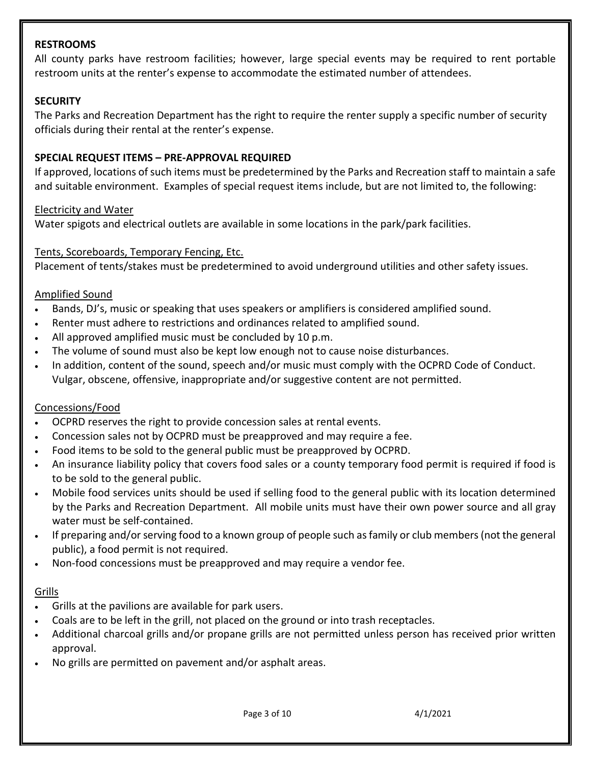#### **RESTROOMS**

All county parks have restroom facilities; however, large special events may be required to rent portable restroom units at the renter's expense to accommodate the estimated number of attendees.

#### **SECURITY**

The Parks and Recreation Department has the right to require the renter supply a specific number of security officials during their rental at the renter's expense.

#### **SPECIAL REQUEST ITEMS – PRE-APPROVAL REQUIRED**

If approved, locations of such items must be predetermined by the Parks and Recreation staff to maintain a safe and suitable environment. Examples of special request items include, but are not limited to, the following:

#### Electricity and Water

Water spigots and electrical outlets are available in some locations in the park/park facilities.

#### Tents, Scoreboards, Temporary Fencing, Etc.

Placement of tents/stakes must be predetermined to avoid underground utilities and other safety issues.

#### Amplified Sound

- Bands, DJ's, music or speaking that uses speakers or amplifiers is considered amplified sound.
- Renter must adhere to restrictions and ordinances related to amplified sound.
- All approved amplified music must be concluded by 10 p.m.
- The volume of sound must also be kept low enough not to cause noise disturbances.
- In addition, content of the sound, speech and/or music must comply with the OCPRD Code of Conduct. Vulgar, obscene, offensive, inappropriate and/or suggestive content are not permitted.

#### Concessions/Food

- OCPRD reserves the right to provide concession sales at rental events.
- Concession sales not by OCPRD must be preapproved and may require a fee.
- Food items to be sold to the general public must be preapproved by OCPRD.
- An insurance liability policy that covers food sales or a county temporary food permit is required if food is to be sold to the general public.
- Mobile food services units should be used if selling food to the general public with its location determined by the Parks and Recreation Department. All mobile units must have their own power source and all gray water must be self-contained.
- If preparing and/or serving food to a known group of people such as family or club members (not the general public), a food permit is not required.
- Non-food concessions must be preapproved and may require a vendor fee.

#### **Grills**

- Grills at the pavilions are available for park users.
- Coals are to be left in the grill, not placed on the ground or into trash receptacles.
- Additional charcoal grills and/or propane grills are not permitted unless person has received prior written approval.
- No grills are permitted on pavement and/or asphalt areas.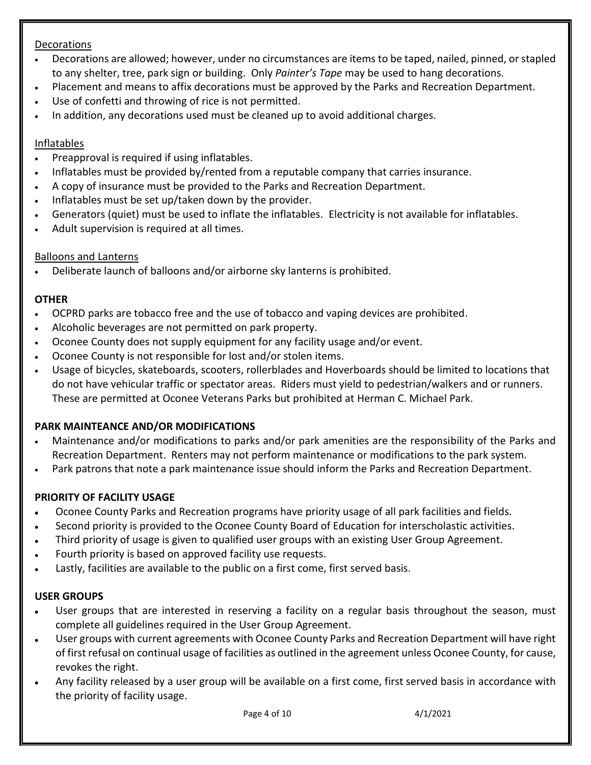## Decorations

- Decorations are allowed; however, under no circumstances are items to be taped, nailed, pinned, or stapled to any shelter, tree, park sign or building. Only *Painter's Tape* may be used to hang decorations.
- Placement and means to affix decorations must be approved by the Parks and Recreation Department.
- Use of confetti and throwing of rice is not permitted.
- In addition, any decorations used must be cleaned up to avoid additional charges.

## Inflatables

- Preapproval is required if using inflatables.
- Inflatables must be provided by/rented from a reputable company that carries insurance.
- A copy of insurance must be provided to the Parks and Recreation Department.
- Inflatables must be set up/taken down by the provider.
- Generators (quiet) must be used to inflate the inflatables. Electricity is not available for inflatables.
- Adult supervision is required at all times.

## Balloons and Lanterns

• Deliberate launch of balloons and/or airborne sky lanterns is prohibited.

## **OTHER**

- OCPRD parks are tobacco free and the use of tobacco and vaping devices are prohibited.
- Alcoholic beverages are not permitted on park property.
- Oconee County does not supply equipment for any facility usage and/or event.
- Oconee County is not responsible for lost and/or stolen items.
- Usage of bicycles, skateboards, scooters, rollerblades and Hoverboards should be limited to locations that do not have vehicular traffic or spectator areas. Riders must yield to pedestrian/walkers and or runners. These are permitted at Oconee Veterans Parks but prohibited at Herman C. Michael Park.

## **PARK MAINTEANCE AND/OR MODIFICATIONS**

- Maintenance and/or modifications to parks and/or park amenities are the responsibility of the Parks and Recreation Department. Renters may not perform maintenance or modifications to the park system.
- Park patrons that note a park maintenance issue should inform the Parks and Recreation Department.

## **PRIORITY OF FACILITY USAGE**

- Oconee County Parks and Recreation programs have priority usage of all park facilities and fields.
- Second priority is provided to the Oconee County Board of Education for interscholastic activities.
- Third priority of usage is given to qualified user groups with an existing User Group Agreement.
- Fourth priority is based on approved facility use requests.
- Lastly, facilities are available to the public on a first come, first served basis.

## **USER GROUPS**

- User groups that are interested in reserving a facility on a regular basis throughout the season, must complete all guidelines required in the User Group Agreement.
- User groups with current agreements with Oconee County Parks and Recreation Department will have right of first refusal on continual usage of facilities as outlined in the agreement unless Oconee County, for cause, revokes the right.
- Any facility released by a user group will be available on a first come, first served basis in accordance with the priority of facility usage.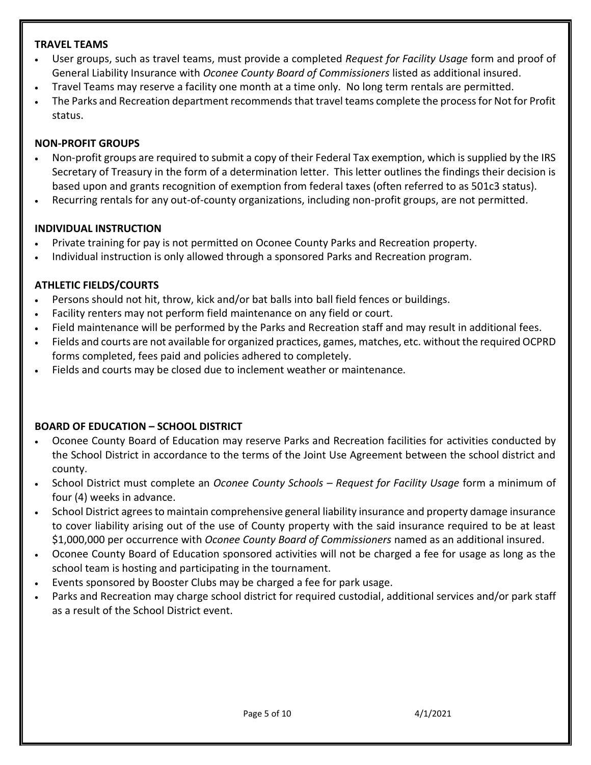#### **TRAVEL TEAMS**

- User groups, such as travel teams, must provide a completed *Request for Facility Usage* form and proof of General Liability Insurance with *Oconee County Board of Commissioners* listed as additional insured.
- Travel Teams may reserve a facility one month at a time only. No long term rentals are permitted.
- The Parks and Recreation department recommends that travel teams complete the process for Not for Profit status.

#### **NON-PROFIT GROUPS**

- Non-profit groups are required to submit a copy of their Federal Tax exemption, which is supplied by the IRS Secretary of Treasury in the form of a determination letter. This letter outlines the findings their decision is based upon and grants recognition of exemption from federal taxes (often referred to as 501c3 status).
- Recurring rentals for any out-of-county organizations, including non-profit groups, are not permitted.

#### **INDIVIDUAL INSTRUCTION**

- Private training for pay is not permitted on Oconee County Parks and Recreation property.
- Individual instruction is only allowed through a sponsored Parks and Recreation program.

#### **ATHLETIC FIELDS/COURTS**

- Persons should not hit, throw, kick and/or bat balls into ball field fences or buildings.
- Facility renters may not perform field maintenance on any field or court.
- Field maintenance will be performed by the Parks and Recreation staff and may result in additional fees.
- Fields and courts are not available for organized practices, games, matches, etc. without the required OCPRD forms completed, fees paid and policies adhered to completely.
- Fields and courts may be closed due to inclement weather or maintenance.

#### **BOARD OF EDUCATION – SCHOOL DISTRICT**

- Oconee County Board of Education may reserve Parks and Recreation facilities for activities conducted by the School District in accordance to the terms of the Joint Use Agreement between the school district and county.
- School District must complete an *Oconee County Schools – Request for Facility Usage* form a minimum of four (4) weeks in advance.
- School District agrees to maintain comprehensive general liability insurance and property damage insurance to cover liability arising out of the use of County property with the said insurance required to be at least \$1,000,000 per occurrence with *Oconee County Board of Commissioners* named as an additional insured.
- Oconee County Board of Education sponsored activities will not be charged a fee for usage as long as the school team is hosting and participating in the tournament.
- Events sponsored by Booster Clubs may be charged a fee for park usage.
- Parks and Recreation may charge school district for required custodial, additional services and/or park staff as a result of the School District event.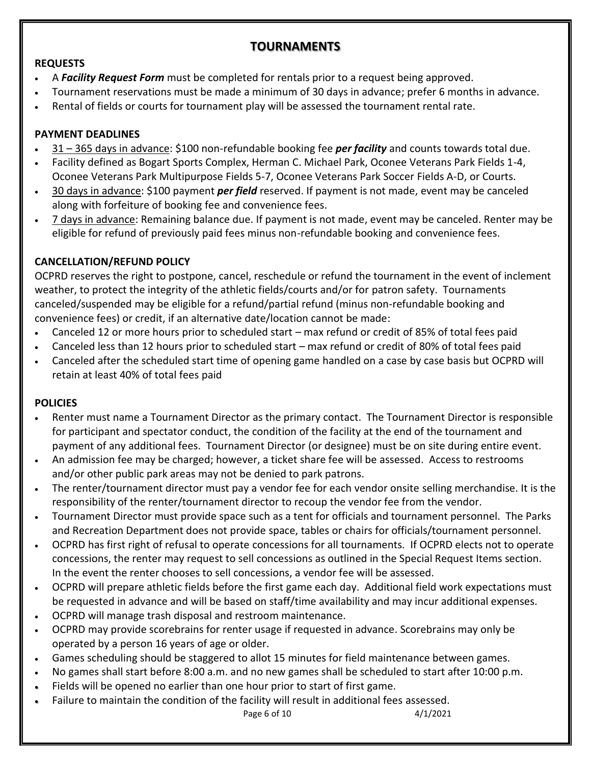## **TOURNAMENTS**

## **REQUESTS**

- A *Facility Request Form* must be completed for rentals prior to a request being approved.
- Tournament reservations must be made a minimum of 30 days in advance; prefer 6 months in advance.
- Rental of fields or courts for tournament play will be assessed the tournament rental rate.

## **PAYMENT DEADLINES**

- 31 365 days in advance: \$100 non-refundable booking fee *per facility* and counts towards total due.
- Facility defined as Bogart Sports Complex, Herman C. Michael Park, Oconee Veterans Park Fields 1-4, Oconee Veterans Park Multipurpose Fields 5-7, Oconee Veterans Park Soccer Fields A-D, or Courts.
- 30 days in advance: \$100 payment *per field* reserved. If payment is not made, event may be canceled along with forfeiture of booking fee and convenience fees.
- 7 days in advance: Remaining balance due. If payment is not made, event may be canceled. Renter may be eligible for refund of previously paid fees minus non-refundable booking and convenience fees.

## **CANCELLATION/REFUND POLICY**

OCPRD reserves the right to postpone, cancel, reschedule or refund the tournament in the event of inclement weather, to protect the integrity of the athletic fields/courts and/or for patron safety. Tournaments canceled/suspended may be eligible for a refund/partial refund (minus non-refundable booking and convenience fees) or credit, if an alternative date/location cannot be made:

- Canceled 12 or more hours prior to scheduled start max refund or credit of 85% of total fees paid
- Canceled less than 12 hours prior to scheduled start max refund or credit of 80% of total fees paid
- Canceled after the scheduled start time of opening game handled on a case by case basis but OCPRD will retain at least 40% of total fees paid

## **POLICIES**

- Renter must name a Tournament Director as the primary contact. The Tournament Director is responsible for participant and spectator conduct, the condition of the facility at the end of the tournament and payment of any additional fees. Tournament Director (or designee) must be on site during entire event.
- An admission fee may be charged; however, a ticket share fee will be assessed. Access to restrooms and/or other public park areas may not be denied to park patrons.
- The renter/tournament director must pay a vendor fee for each vendor onsite selling merchandise. It is the responsibility of the renter/tournament director to recoup the vendor fee from the vendor.
- Tournament Director must provide space such as a tent for officials and tournament personnel. The Parks and Recreation Department does not provide space, tables or chairs for officials/tournament personnel.
- OCPRD has first right of refusal to operate concessions for all tournaments. If OCPRD elects not to operate concessions, the renter may request to sell concessions as outlined in the Special Request Items section. In the event the renter chooses to sell concessions, a vendor fee will be assessed.
- OCPRD will prepare athletic fields before the first game each day. Additional field work expectations must be requested in advance and will be based on staff/time availability and may incur additional expenses.
- OCPRD will manage trash disposal and restroom maintenance.
- OCPRD may provide scorebrains for renter usage if requested in advance. Scorebrains may only be operated by a person 16 years of age or older.
- Games scheduling should be staggered to allot 15 minutes for field maintenance between games.
- No games shall start before 8:00 a.m. and no new games shall be scheduled to start after 10:00 p.m.
- Fields will be opened no earlier than one hour prior to start of first game.
- Failure to maintain the condition of the facility will result in additional fees assessed.

Page 6 of 10 4/1/2021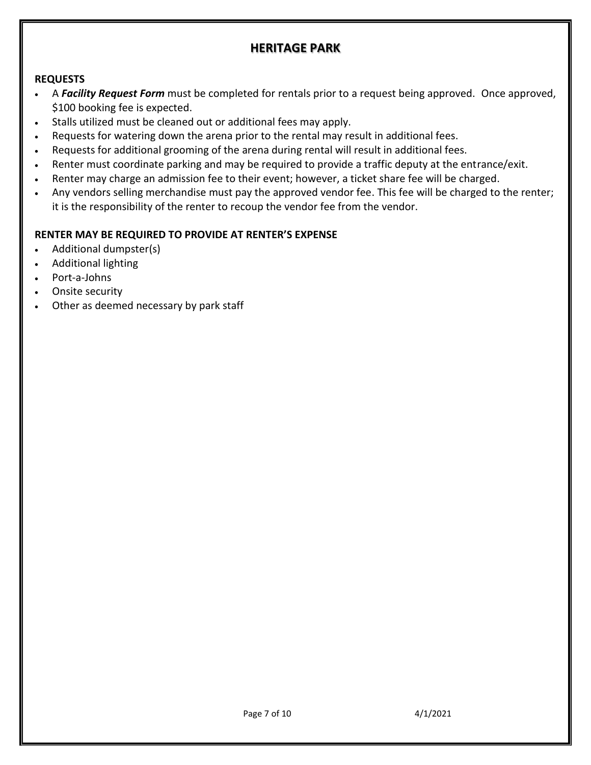## **HERITAGE PARK**

#### **REQUESTS**

- A *Facility Request Form* must be completed for rentals prior to a request being approved. Once approved, \$100 booking fee is expected.
- Stalls utilized must be cleaned out or additional fees may apply.
- Requests for watering down the arena prior to the rental may result in additional fees.
- Requests for additional grooming of the arena during rental will result in additional fees.
- Renter must coordinate parking and may be required to provide a traffic deputy at the entrance/exit.
- Renter may charge an admission fee to their event; however, a ticket share fee will be charged.
- Any vendors selling merchandise must pay the approved vendor fee. This fee will be charged to the renter; it is the responsibility of the renter to recoup the vendor fee from the vendor.

## **RENTER MAY BE REQUIRED TO PROVIDE AT RENTER'S EXPENSE**

- Additional dumpster(s)
- Additional lighting
- Port-a-Johns
- Onsite security
- Other as deemed necessary by park staff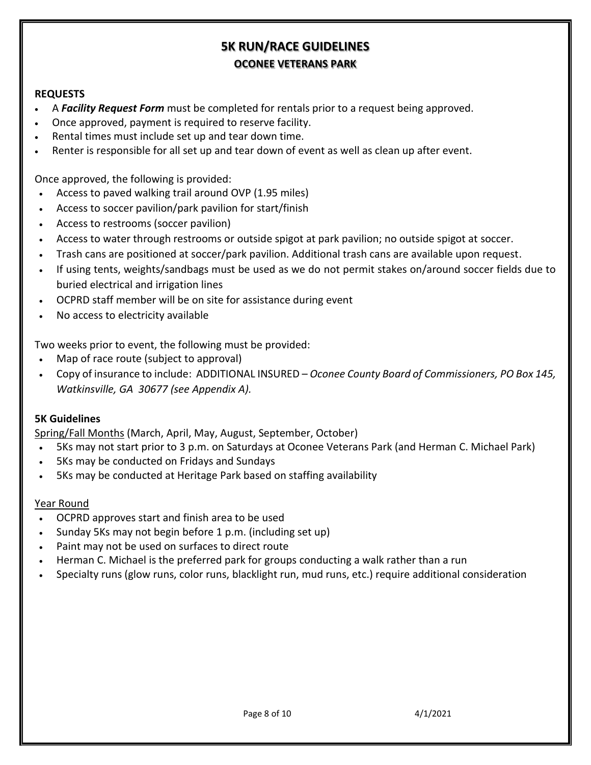## **5K RUN/RACE GUIDELINES OCONEE VETERANS PARK**

#### **REQUESTS**

- A *Facility Request Form* must be completed for rentals prior to a request being approved.
- Once approved, payment is required to reserve facility.
- Rental times must include set up and tear down time.
- Renter is responsible for all set up and tear down of event as well as clean up after event.

Once approved, the following is provided:

- Access to paved walking trail around OVP (1.95 miles)
- Access to soccer pavilion/park pavilion for start/finish
- Access to restrooms (soccer pavilion)
- Access to water through restrooms or outside spigot at park pavilion; no outside spigot at soccer.
- Trash cans are positioned at soccer/park pavilion. Additional trash cans are available upon request.
- If using tents, weights/sandbags must be used as we do not permit stakes on/around soccer fields due to buried electrical and irrigation lines
- OCPRD staff member will be on site for assistance during event
- No access to electricity available

Two weeks prior to event, the following must be provided:

- Map of race route (subject to approval)
- Copy of insurance to include: ADDITIONAL INSURED *Oconee County Board of Commissioners, PO Box 145, Watkinsville, GA 30677 (see Appendix A).*

#### **5K Guidelines**

Spring/Fall Months (March, April, May, August, September, October)

- 5Ks may not start prior to 3 p.m. on Saturdays at Oconee Veterans Park (and Herman C. Michael Park)
- 5Ks may be conducted on Fridays and Sundays
- 5Ks may be conducted at Heritage Park based on staffing availability

#### Year Round

- OCPRD approves start and finish area to be used
- Sunday 5Ks may not begin before 1 p.m. (including set up)
- Paint may not be used on surfaces to direct route
- Herman C. Michael is the preferred park for groups conducting a walk rather than a run
- Specialty runs (glow runs, color runs, blacklight run, mud runs, etc.) require additional consideration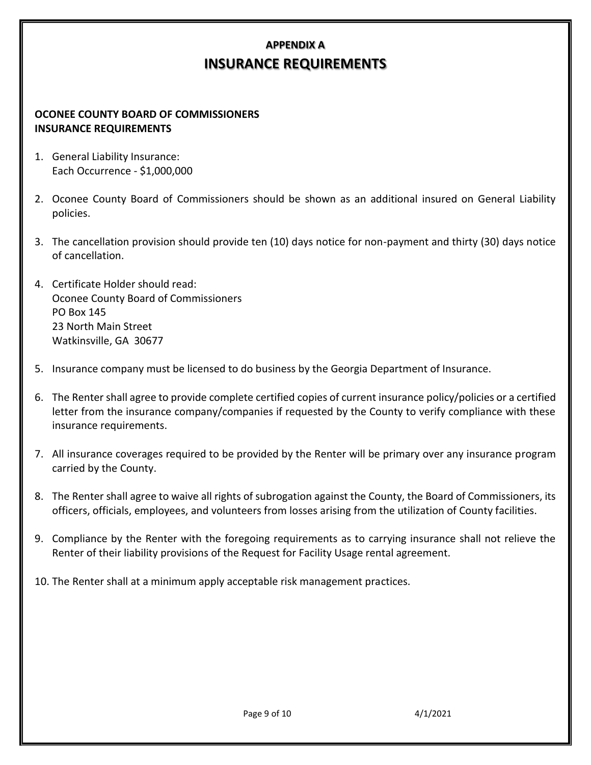# **APPENDIX A INSURANCE REQUIREMENTS**

#### **OCONEE COUNTY BOARD OF COMMISSIONERS INSURANCE REQUIREMENTS**

- 1. General Liability Insurance: Each Occurrence - \$1,000,000
- 2. Oconee County Board of Commissioners should be shown as an additional insured on General Liability policies.
- 3. The cancellation provision should provide ten (10) days notice for non-payment and thirty (30) days notice of cancellation.
- 4. Certificate Holder should read: Oconee County Board of Commissioners PO Box 145 23 North Main Street Watkinsville, GA 30677
- 5. Insurance company must be licensed to do business by the Georgia Department of Insurance.
- 6. The Renter shall agree to provide complete certified copies of current insurance policy/policies or a certified letter from the insurance company/companies if requested by the County to verify compliance with these insurance requirements.
- 7. All insurance coverages required to be provided by the Renter will be primary over any insurance program carried by the County.
- 8. The Renter shall agree to waive all rights of subrogation against the County, the Board of Commissioners, its officers, officials, employees, and volunteers from losses arising from the utilization of County facilities.
- 9. Compliance by the Renter with the foregoing requirements as to carrying insurance shall not relieve the Renter of their liability provisions of the Request for Facility Usage rental agreement.
- 10. The Renter shall at a minimum apply acceptable risk management practices.